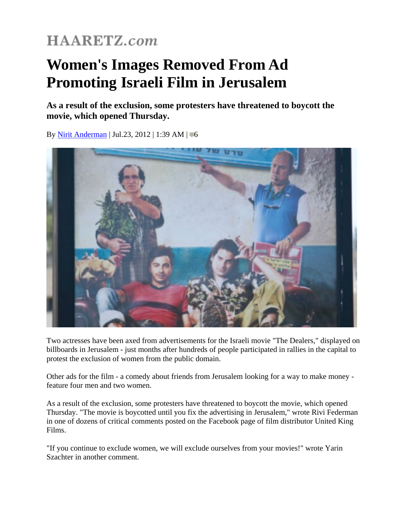## **HAARETZ.com**

## **Women's Images Removed From Ad Promoting Israeli Film in Jerusalem**

**As a result of the exclusion, some protesters have threatened to boycott the movie, which opened Thursday.** 

By [Nirit Anderman](http://www.haaretz.com/misc/writers/nirit-anderman-1.504) | Jul.23, 2012 | 1:39 AM |  $\blacksquare$ 6



Two actresses have been axed from advertisements for the Israeli movie "The Dealers," displayed on billboards in Jerusalem - just months after hundreds of people participated in rallies in the capital to protest the exclusion of women from the public domain.

Other ads for the film - a comedy about friends from Jerusalem looking for a way to make money feature four men and two women.

As a result of the exclusion, some protesters have threatened to boycott the movie, which opened Thursday. "The movie is boycotted until you fix the advertising in Jerusalem," wrote Rivi Federman in one of dozens of critical comments posted on the Facebook page of film distributor United King Films.

"If you continue to exclude women, we will exclude ourselves from your movies!" wrote Yarin Szachter in another comment.